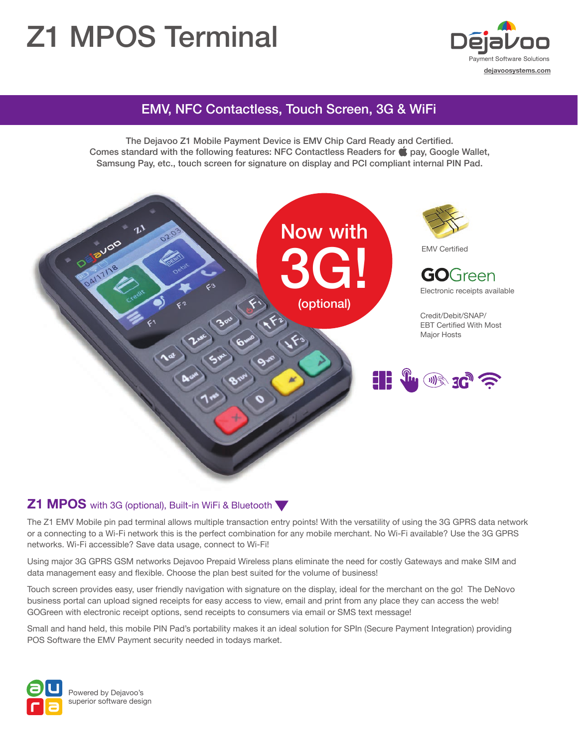# Z1 MPOS Terminal



# EMV, NFC Contactless, Touch Screen, 3G & WiFi

The Dejavoo Z1 Mobile Payment Device is EMV Chip Card Ready and Certified. Comes standard with the following features: NFC Contactless Readers for  $\bullet$  pay, Google Wallet, Samsung Pay, etc., touch screen for signature on display and PCI compliant internal PIN Pad.



### **Z1 MPOS** with 3G (optional), Built-in WiFi & Bluetooth

The Z1 EMV Mobile pin pad terminal allows multiple transaction entry points! With the versatility of using the 3G GPRS data network or a connecting to a Wi-Fi network this is the perfect combination for any mobile merchant. No Wi-Fi available? Use the 3G GPRS networks. Wi-Fi accessible? Save data usage, connect to Wi-Fi!

Using major 3G GPRS GSM networks Dejavoo Prepaid Wireless plans eliminate the need for costly Gateways and make SIM and data management easy and flexible. Choose the plan best suited for the volume of business!

Touch screen provides easy, user friendly navigation with signature on the display, ideal for the merchant on the go! The DeNovo business portal can upload signed receipts for easy access to view, email and print from any place they can access the web! GOGreen with electronic receipt options, send receipts to consumers via email or SMS text message!

Small and hand held, this mobile PIN Pad's portability makes it an ideal solution for SPIn (Secure Payment Integration) providing POS Software the EMV Payment security needed in todays market.